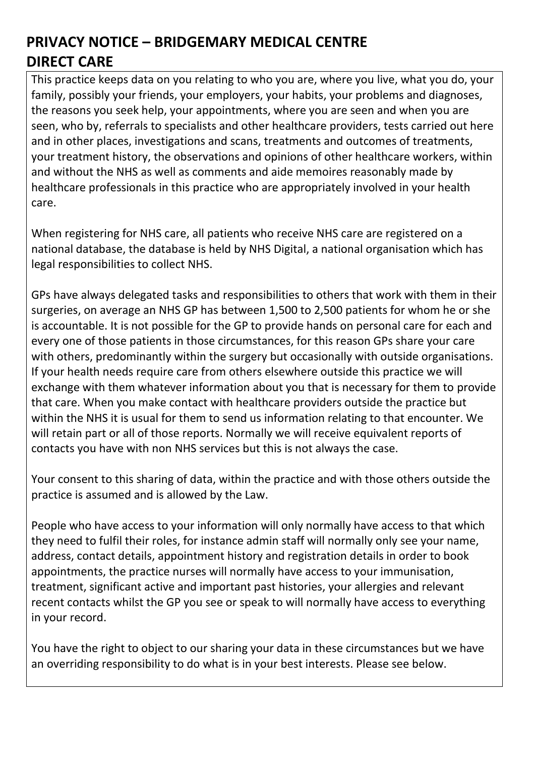This practice keeps data on you relating to who you are, where you live, what you do, your family, possibly your friends, your employers, your habits, your problems and diagnoses, the reasons you seek help, your appointments, where you are seen and when you are seen, who by, referrals to specialists and other healthcare providers, tests carried out here and in other places, investigations and scans, treatments and outcomes of treatments, your treatment history, the observations and opinions of other healthcare workers, within and without the NHS as well as comments and aide memoires reasonably made by healthcare professionals in this practice who are appropriately involved in your health care.

When registering for NHS care, all patients who receive NHS care are registered on a national database, the database is held by NHS Digital, a national organisation which has legal responsibilities to collect NHS.

GPs have always delegated tasks and responsibilities to others that work with them in their surgeries, on average an NHS GP has between 1,500 to 2,500 patients for whom he or she is accountable. It is not possible for the GP to provide hands on personal care for each and every one of those patients in those circumstances, for this reason GPs share your care with others, predominantly within the surgery but occasionally with outside organisations. If your health needs require care from others elsewhere outside this practice we will exchange with them whatever information about you that is necessary for them to provide that care. When you make contact with healthcare providers outside the practice but within the NHS it is usual for them to send us information relating to that encounter. We will retain part or all of those reports. Normally we will receive equivalent reports of contacts you have with non NHS services but this is not always the case.

Your consent to this sharing of data, within the practice and with those others outside the practice is assumed and is allowed by the Law.

People who have access to your information will only normally have access to that which they need to fulfil their roles, for instance admin staff will normally only see your name, address, contact details, appointment history and registration details in order to book appointments, the practice nurses will normally have access to your immunisation, treatment, significant active and important past histories, your allergies and relevant recent contacts whilst the GP you see or speak to will normally have access to everything in your record.

You have the right to object to our sharing your data in these circumstances but we have an overriding responsibility to do what is in your best interests. Please see below.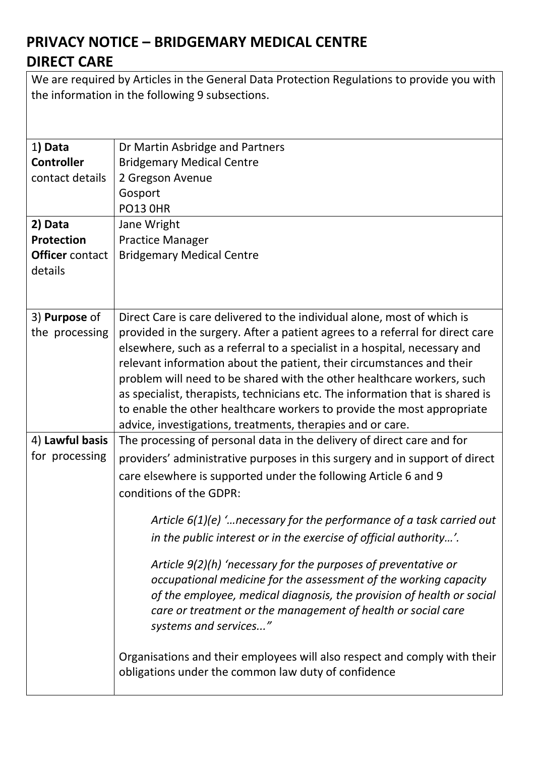We are required by Articles in the General Data Protection Regulations to provide you with the information in the following 9 subsections.

| 1) Data                | Dr Martin Asbridge and Partners                                               |
|------------------------|-------------------------------------------------------------------------------|
| <b>Controller</b>      | <b>Bridgemary Medical Centre</b>                                              |
| contact details        | 2 Gregson Avenue                                                              |
|                        | Gosport                                                                       |
|                        | <b>PO13 OHR</b>                                                               |
| 2) Data                | Jane Wright                                                                   |
| <b>Protection</b>      | <b>Practice Manager</b>                                                       |
| <b>Officer</b> contact | <b>Bridgemary Medical Centre</b>                                              |
| details                |                                                                               |
|                        |                                                                               |
| 3) Purpose of          | Direct Care is care delivered to the individual alone, most of which is       |
| the processing         | provided in the surgery. After a patient agrees to a referral for direct care |
|                        | elsewhere, such as a referral to a specialist in a hospital, necessary and    |
|                        | relevant information about the patient, their circumstances and their         |
|                        | problem will need to be shared with the other healthcare workers, such        |
|                        | as specialist, therapists, technicians etc. The information that is shared is |
|                        | to enable the other healthcare workers to provide the most appropriate        |
|                        | advice, investigations, treatments, therapies and or care.                    |
| 4) Lawful basis        | The processing of personal data in the delivery of direct care and for        |
| for processing         | providers' administrative purposes in this surgery and in support of direct   |
|                        | care elsewhere is supported under the following Article 6 and 9               |
|                        | conditions of the GDPR:                                                       |
|                        | Article $6(1)(e)$ ' necessary for the performance of a task carried out       |
|                        | in the public interest or in the exercise of official authority'.             |
|                        | Article 9(2)(h) 'necessary for the purposes of preventative or                |
|                        | occupational medicine for the assessment of the working capacity              |
|                        | of the employee, medical diagnosis, the provision of health or social         |
|                        | care or treatment or the management of health or social care                  |
|                        | systems and services"                                                         |
|                        |                                                                               |
|                        | Organisations and their employees will also respect and comply with their     |
|                        | obligations under the common law duty of confidence                           |
|                        |                                                                               |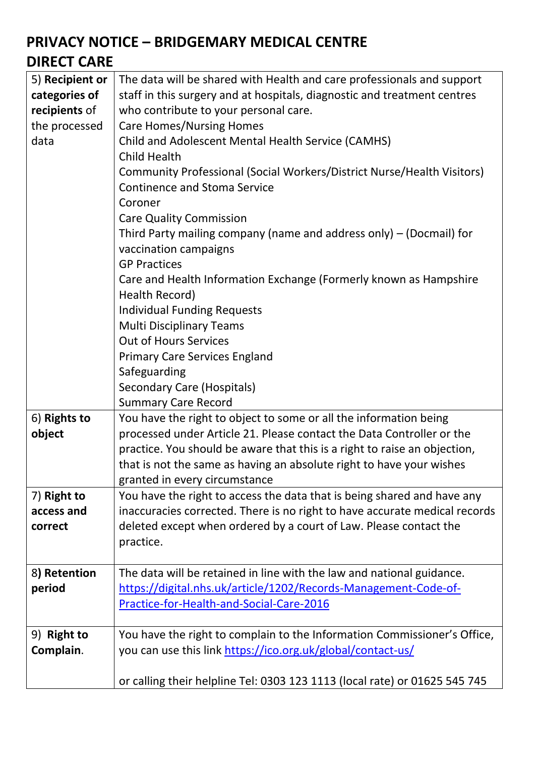| 5) Recipient or | The data will be shared with Health and care professionals and support     |
|-----------------|----------------------------------------------------------------------------|
| categories of   | staff in this surgery and at hospitals, diagnostic and treatment centres   |
| recipients of   | who contribute to your personal care.                                      |
| the processed   | <b>Care Homes/Nursing Homes</b>                                            |
| data            | Child and Adolescent Mental Health Service (CAMHS)                         |
|                 | Child Health                                                               |
|                 | Community Professional (Social Workers/District Nurse/Health Visitors)     |
|                 | <b>Continence and Stoma Service</b>                                        |
|                 | Coroner                                                                    |
|                 | <b>Care Quality Commission</b>                                             |
|                 | Third Party mailing company (name and address only) $-$ (Docmail) for      |
|                 | vaccination campaigns                                                      |
|                 | <b>GP Practices</b>                                                        |
|                 | Care and Health Information Exchange (Formerly known as Hampshire          |
|                 | Health Record)                                                             |
|                 | <b>Individual Funding Requests</b>                                         |
|                 | <b>Multi Disciplinary Teams</b>                                            |
|                 | <b>Out of Hours Services</b>                                               |
|                 | <b>Primary Care Services England</b>                                       |
|                 | Safeguarding                                                               |
|                 | Secondary Care (Hospitals)                                                 |
|                 | <b>Summary Care Record</b>                                                 |
| 6) Rights to    | You have the right to object to some or all the information being          |
| object          | processed under Article 21. Please contact the Data Controller or the      |
|                 | practice. You should be aware that this is a right to raise an objection,  |
|                 | that is not the same as having an absolute right to have your wishes       |
|                 | granted in every circumstance                                              |
| 7) Right to     | You have the right to access the data that is being shared and have any    |
| access and      | inaccuracies corrected. There is no right to have accurate medical records |
| correct         | deleted except when ordered by a court of Law. Please contact the          |
|                 | practice.                                                                  |
|                 |                                                                            |
| 8) Retention    | The data will be retained in line with the law and national guidance.      |
| period          | https://digital.nhs.uk/article/1202/Records-Management-Code-of-            |
|                 | Practice-for-Health-and-Social-Care-2016                                   |
|                 |                                                                            |
| 9) Right to     | You have the right to complain to the Information Commissioner's Office,   |
| Complain.       | you can use this link https://ico.org.uk/global/contact-us/                |
|                 |                                                                            |
|                 | or calling their helpline Tel: 0303 123 1113 (local rate) or 01625 545 745 |